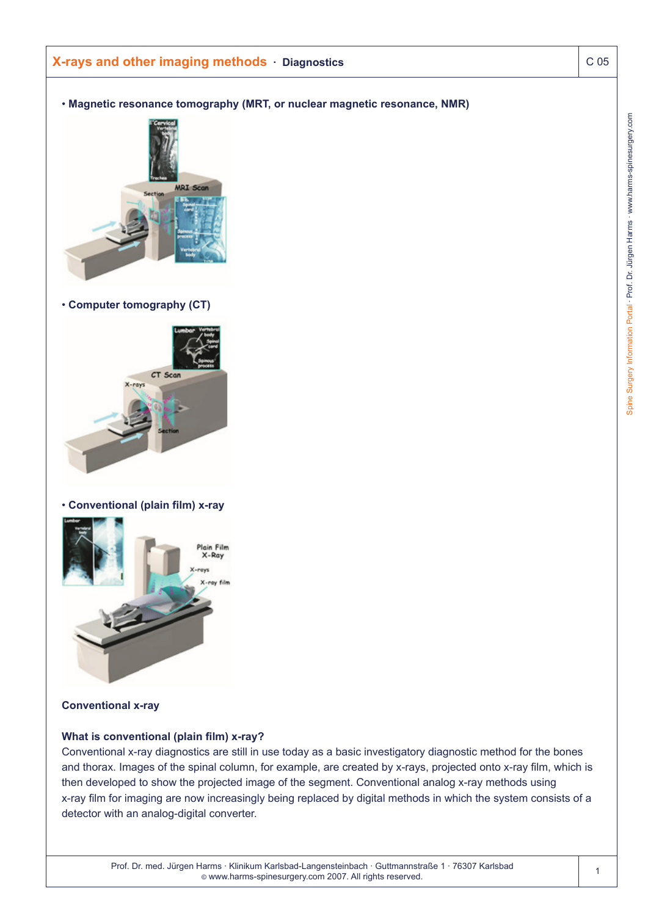# **X-rays and other imaging methods · Diagnostics COS** COS • **Magnetic resonance tomography (MRT, or nuclear magnetic resonance, NMR) MRI Sco** • **Computer tomography (CT)** CT Scan • **Conventional (plain film) x-ray** Main Film X-Ray **Conventional x-ray What is conventional (plain film) x-ray?** Conventional x-ray diagnostics are still in use today as a basic investigatory diagnostic method for the bones and thorax. Images of the spinal column, for example, are created by x-rays, projected onto x-ray film, which is then developed to show the projected image of the segment. Conventional analog x-ray methods using x-ray film for imaging are now increasingly being replaced by digital methods in which the system consists of a detector with an analog-digital converter.

1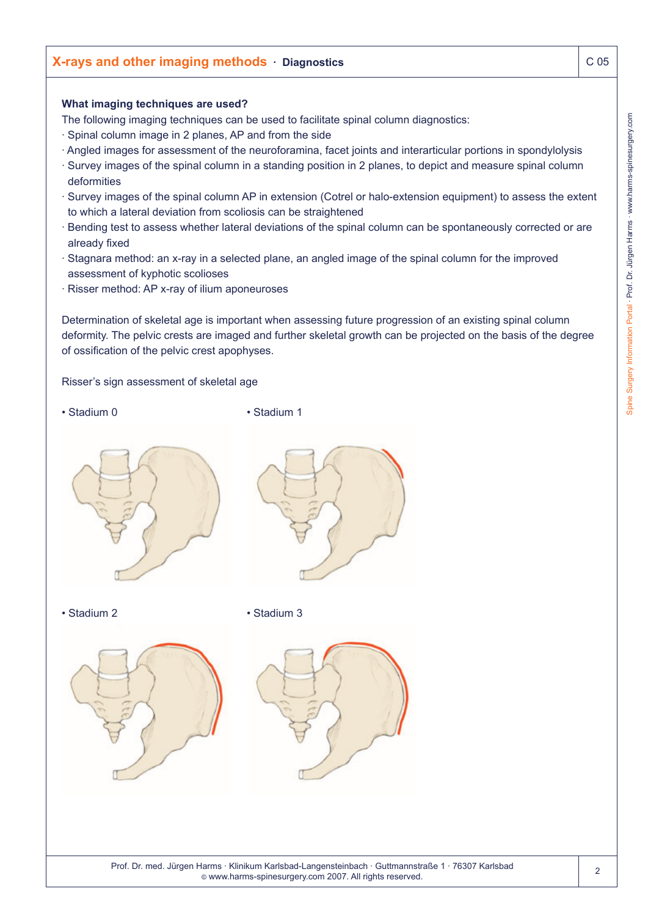#### **What imaging techniques are used?**

The following imaging techniques can be used to facilitate spinal column diagnostics:

- · Spinal column image in 2 planes, AP and from the side
- · Angled images for assessment of the neuroforamina, facet joints and interarticular portions in spondylolysis
- · Survey images of the spinal column in a standing position in 2 planes, to depict and measure spinal column deformities
- · Survey images of the spinal column AP in extension (Cotrel or halo-extension equipment) to assess the extent to which a lateral deviation from scoliosis can be straightened
- · Bending test to assess whether lateral deviations of the spinal column can be spontaneously corrected or are already fixed
- · Stagnara method: an x-ray in a selected plane, an angled image of the spinal column for the improved assessment of kyphotic scolioses
- · Risser method: AP x-ray of ilium aponeuroses

Determination of skeletal age is important when assessing future progression of an existing spinal column deformity. The pelvic crests are imaged and further skeletal growth can be projected on the basis of the degree of ossification of the pelvic crest apophyses.

Risser's sign assessment of skeletal age

• Stadium 0 • Stadium 1





• Stadium 2 • Stadium 3





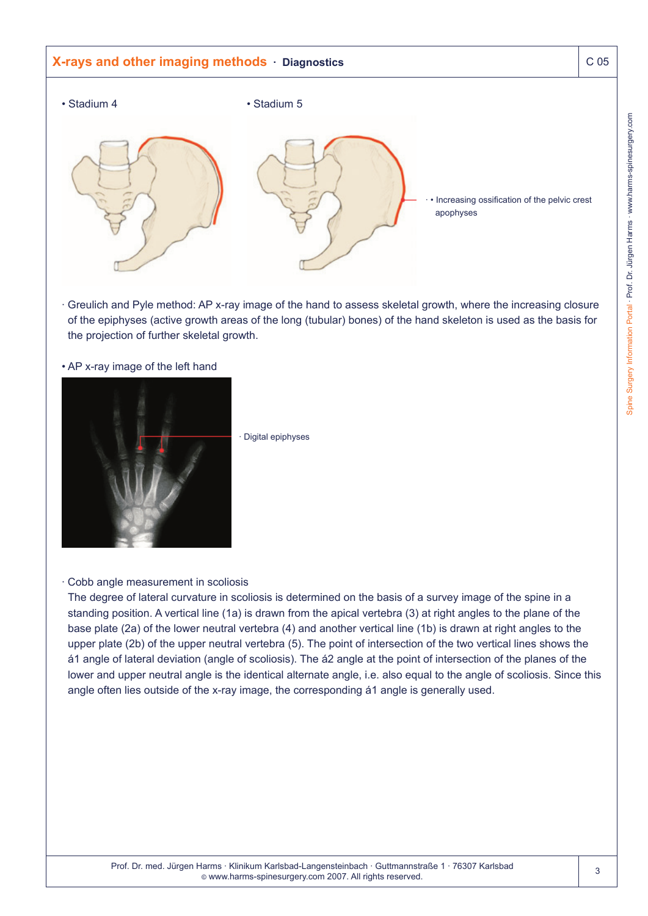

· Greulich and Pyle method: AP x-ray image of the hand to assess skeletal growth, where the increasing closure of the epiphyses (active growth areas of the long (tubular) bones) of the hand skeleton is used as the basis for the projection of further skeletal growth.

#### • AP x-ray image of the left hand



· Digital epiphyses

· Cobb angle measurement in scoliosis

The degree of lateral curvature in scoliosis is determined on the basis of a survey image of the spine in a standing position. A vertical line (1a) is drawn from the apical vertebra (3) at right angles to the plane of the base plate (2a) of the lower neutral vertebra (4) and another vertical line (1b) is drawn at right angles to the upper plate (2b) of the upper neutral vertebra (5). The point of intersection of the two vertical lines shows the á1 angle of lateral deviation (angle of scoliosis). The á2 angle at the point of intersection of the planes of the lower and upper neutral angle is the identical alternate angle, i.e. also equal to the angle of scoliosis. Since this angle often lies outside of the x-ray image, the corresponding á1 angle is generally used.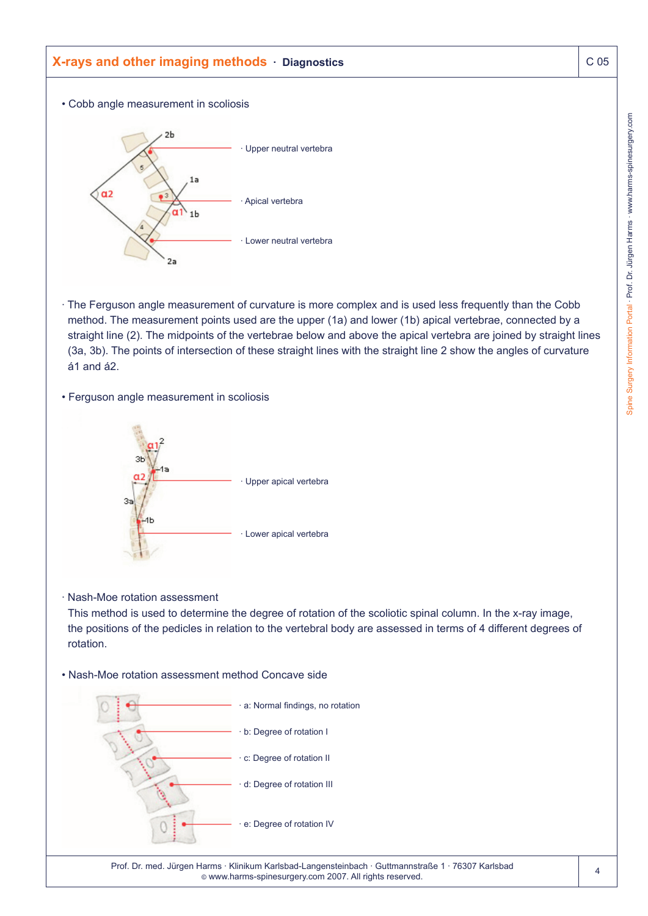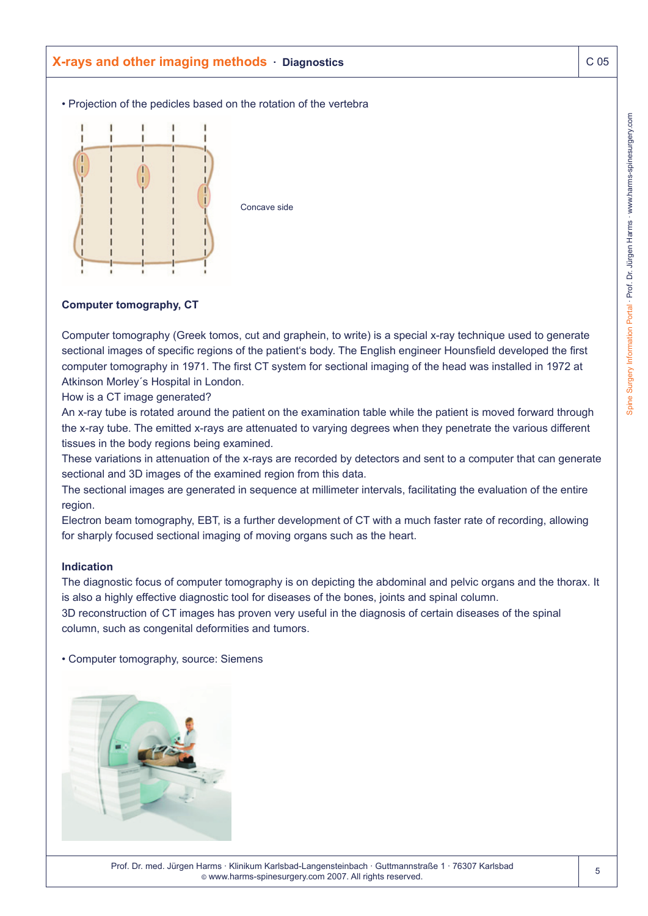

• Projection of the pedicles based on the rotation of the vertebra



Concave side

#### **Computer tomography, CT**

Computer tomography (Greek tomos, cut and graphein, to write) is a special x-ray technique used to generate sectional images of specific regions of the patient's body. The English engineer Hounsfield developed the first computer tomography in 1971. The first CT system for sectional imaging of the head was installed in 1972 at Atkinson Morley´s Hospital in London.

How is a CT image generated?

An x-ray tube is rotated around the patient on the examination table while the patient is moved forward through the x-ray tube. The emitted x-rays are attenuated to varying degrees when they penetrate the various different tissues in the body regions being examined.

These variations in attenuation of the x-rays are recorded by detectors and sent to a computer that can generate sectional and 3D images of the examined region from this data.

The sectional images are generated in sequence at millimeter intervals, facilitating the evaluation of the entire region.

Electron beam tomography, EBT, is a further development of CT with a much faster rate of recording, allowing for sharply focused sectional imaging of moving organs such as the heart.

#### **Indication**

The diagnostic focus of computer tomography is on depicting the abdominal and pelvic organs and the thorax. It is also a highly effective diagnostic tool for diseases of the bones, joints and spinal column.

3D reconstruction of CT images has proven very useful in the diagnosis of certain diseases of the spinal column, such as congenital deformities and tumors.

• Computer tomography, source: Siemens

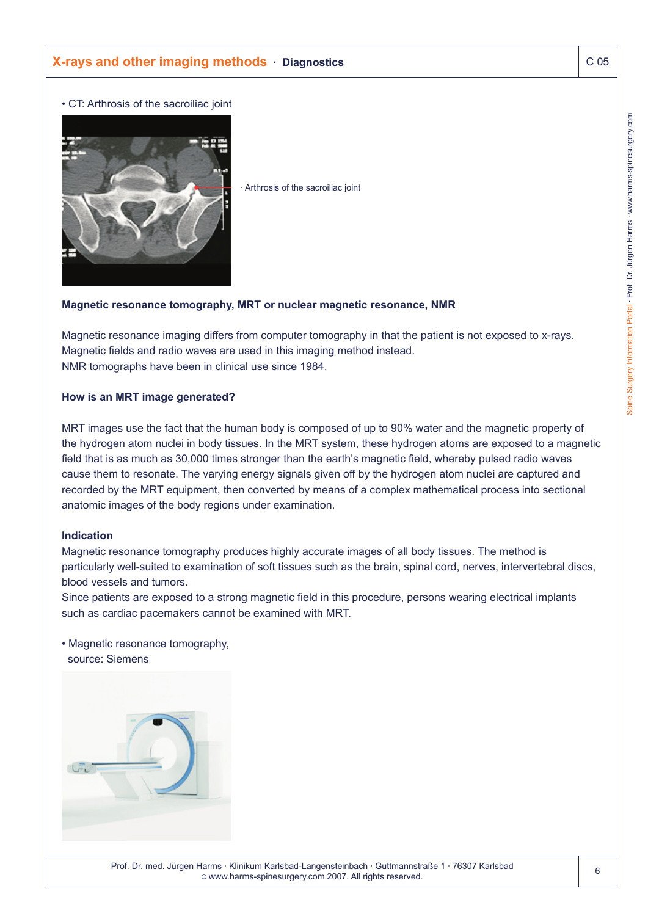#### • CT: Arthrosis of the sacroiliac joint



Arthrosis of the sacroiliac joint

#### **Magnetic resonance tomography, MRT or nuclear magnetic resonance, NMR**

Magnetic resonance imaging differs from computer tomography in that the patient is not exposed to x-rays. Magnetic fields and radio waves are used in this imaging method instead. NMR tomographs have been in clinical use since 1984.

#### **How is an MRT image generated?**

MRT images use the fact that the human body is composed of up to 90% water and the magnetic property of the hydrogen atom nuclei in body tissues. In the MRT system, these hydrogen atoms are exposed to a magnetic field that is as much as 30,000 times stronger than the earth's magnetic field, whereby pulsed radio waves cause them to resonate. The varying energy signals given off by the hydrogen atom nuclei are captured and recorded by the MRT equipment, then converted by means of a complex mathematical process into sectional anatomic images of the body regions under examination.

#### **Indication**

Magnetic resonance tomography produces highly accurate images of all body tissues. The method is particularly well-suited to examination of soft tissues such as the brain, spinal cord, nerves, intervertebral discs, blood vessels and tumors.

Since patients are exposed to a strong magnetic field in this procedure, persons wearing electrical implants such as cardiac pacemakers cannot be examined with MRT.

• Magnetic resonance tomography, source: Siemens



Prof. Dr. med. Jürgen Harms · Klinikum Karlsbad-Langensteinbach · Guttmannstraße 1 · 76307 Karlsbad © www.harms-spinesurgery.com 2007. All rights reserved.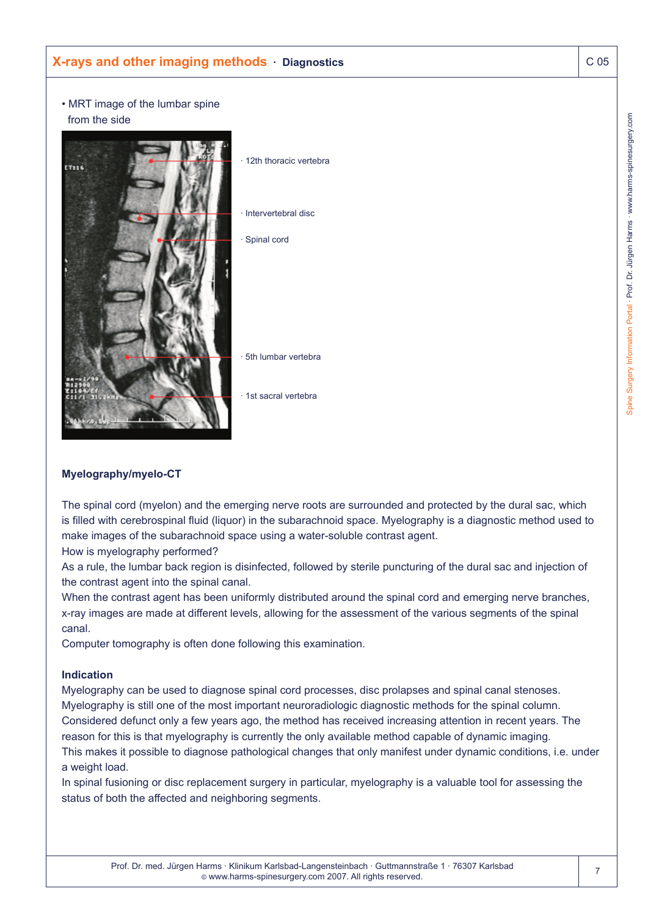• MRT image of the lumbar spine from the side



## **Myelography/myelo-CT**

The spinal cord (myelon) and the emerging nerve roots are surrounded and protected by the dural sac, which is filled with cerebrospinal fluid (liquor) in the subarachnoid space. Myelography is a diagnostic method used to make images of the subarachnoid space using a water-soluble contrast agent.

How is myelography performed?

As a rule, the lumbar back region is disinfected, followed by sterile puncturing of the dural sac and injection of the contrast agent into the spinal canal.

When the contrast agent has been uniformly distributed around the spinal cord and emerging nerve branches, x-ray images are made at different levels, allowing for the assessment of the various segments of the spinal canal.

Computer tomography is often done following this examination.

#### **Indication**

Myelography can be used to diagnose spinal cord processes, disc prolapses and spinal canal stenoses. Myelography is still one of the most important neuroradiologic diagnostic methods for the spinal column. Considered defunct only a few years ago, the method has received increasing attention in recent years. The reason for this is that myelography is currently the only available method capable of dynamic imaging. This makes it possible to diagnose pathological changes that only manifest under dynamic conditions, i.e. under a weight load.

In spinal fusioning or disc replacement surgery in particular, myelography is a valuable tool for assessing the status of both the affected and neighboring segments.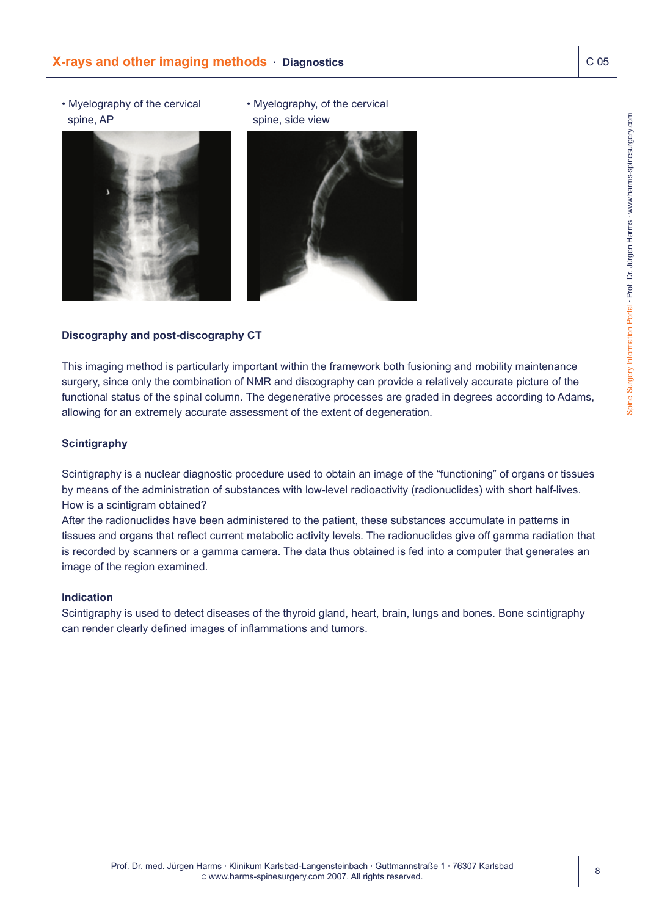• Myelography of the cervical spine, AP



• Myelography, of the cervical spine, side view



#### **Discography and post-discography CT**

This imaging method is particularly important within the framework both fusioning and mobility maintenance surgery, since only the combination of NMR and discography can provide a relatively accurate picture of the functional status of the spinal column. The degenerative processes are graded in degrees according to Adams, allowing for an extremely accurate assessment of the extent of degeneration.

#### **Scintigraphy**

Scintigraphy is a nuclear diagnostic procedure used to obtain an image of the "functioning" of organs or tissues by means of the administration of substances with low-level radioactivity (radionuclides) with short half-lives. How is a scintigram obtained?

After the radionuclides have been administered to the patient, these substances accumulate in patterns in tissues and organs that reflect current metabolic activity levels. The radionuclides give off gamma radiation that is recorded by scanners or a gamma camera. The data thus obtained is fed into a computer that generates an image of the region examined.

#### **Indication**

Scintigraphy is used to detect diseases of the thyroid gland, heart, brain, lungs and bones. Bone scintigraphy can render clearly defined images of inflammations and tumors.